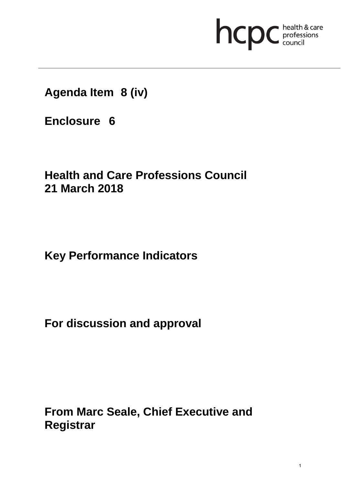# **health & care**

**Agenda Item 8 (iv)**

**Enclosure 6**

# **Health and Care Professions Council 21 March 2018**

**Key Performance Indicators** 

**For discussion and approval**

**From Marc Seale, Chief Executive and Registrar**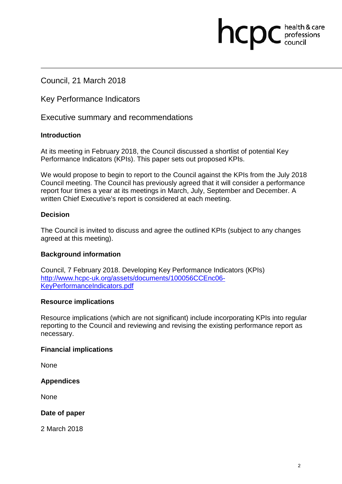# Council, 21 March 2018

Key Performance Indicators

Executive summary and recommendations

#### **Introduction**

At its meeting in February 2018, the Council discussed a shortlist of potential Key Performance Indicators (KPIs). This paper sets out proposed KPIs.

We would propose to begin to report to the Council against the KPIs from the July 2018 Council meeting. The Council has previously agreed that it will consider a performance report four times a year at its meetings in March, July, September and December. A written Chief Executive's report is considered at each meeting.

hcpc

health & care professions<br>council

#### **Decision**

The Council is invited to discuss and agree the outlined KPIs (subject to any changes agreed at this meeting).

#### **Background information**

Council, 7 February 2018. Developing Key Performance Indicators (KPIs) http://www.hcpc-uk.org/assets/documents/100056CCEnc06- KeyPerformanceIndicators.pdf

#### **Resource implications**

Resource implications (which are not significant) include incorporating KPIs into regular reporting to the Council and reviewing and revising the existing performance report as necessary.

#### **Financial implications**

None

#### **Appendices**

**None** 

#### **Date of paper**

2 March 2018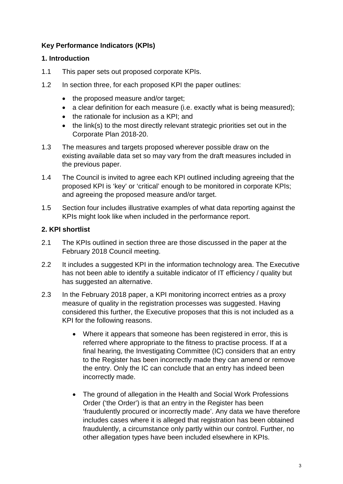## **Key Performance Indicators (KPIs)**

#### **1. Introduction**

- 1.1 This paper sets out proposed corporate KPIs.
- 1.2 In section three, for each proposed KPI the paper outlines:
	- the proposed measure and/or target;
	- a clear definition for each measure (i.e. exactly what is being measured);
	- the rationale for inclusion as a KPI; and
	- the link(s) to the most directly relevant strategic priorities set out in the Corporate Plan 2018-20.
- 1.3 The measures and targets proposed wherever possible draw on the existing available data set so may vary from the draft measures included in the previous paper.
- 1.4 The Council is invited to agree each KPI outlined including agreeing that the proposed KPI is 'key' or 'critical' enough to be monitored in corporate KPIs; and agreeing the proposed measure and/or target.
- 1.5 Section four includes illustrative examples of what data reporting against the KPIs might look like when included in the performance report.

#### **2. KPI shortlist**

- 2.1 The KPIs outlined in section three are those discussed in the paper at the February 2018 Council meeting.
- 2.2 It includes a suggested KPI in the information technology area. The Executive has not been able to identify a suitable indicator of IT efficiency / quality but has suggested an alternative.
- 2.3 In the February 2018 paper, a KPI monitoring incorrect entries as a proxy measure of quality in the registration processes was suggested. Having considered this further, the Executive proposes that this is not included as a KPI for the following reasons.
	- Where it appears that someone has been registered in error, this is referred where appropriate to the fitness to practise process. If at a final hearing, the Investigating Committee (IC) considers that an entry to the Register has been incorrectly made they can amend or remove the entry. Only the IC can conclude that an entry has indeed been incorrectly made.
	- The ground of allegation in the Health and Social Work Professions Order ('the Order') is that an entry in the Register has been 'fraudulently procured or incorrectly made'. Any data we have therefore includes cases where it is alleged that registration has been obtained fraudulently, a circumstance only partly within our control. Further, no other allegation types have been included elsewhere in KPIs.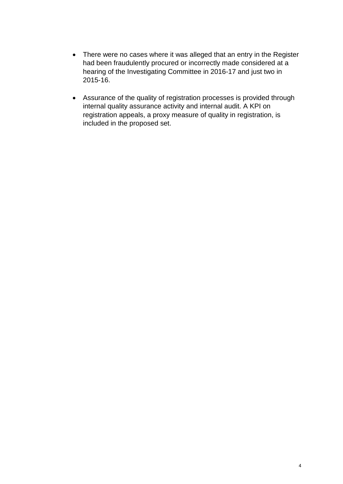- There were no cases where it was alleged that an entry in the Register had been fraudulently procured or incorrectly made considered at a hearing of the Investigating Committee in 2016-17 and just two in 2015-16.
- Assurance of the quality of registration processes is provided through internal quality assurance activity and internal audit. A KPI on registration appeals, a proxy measure of quality in registration, is included in the proposed set.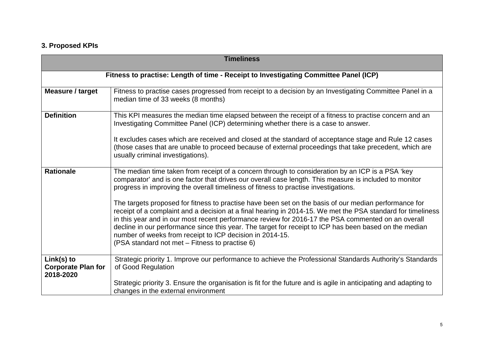# **3. Proposed KPIs**

| <b>Timeliness</b>                                                                    |                                                                                                                                                                                                                                                                                                                                                                                                                                                                                                                                                    |  |  |
|--------------------------------------------------------------------------------------|----------------------------------------------------------------------------------------------------------------------------------------------------------------------------------------------------------------------------------------------------------------------------------------------------------------------------------------------------------------------------------------------------------------------------------------------------------------------------------------------------------------------------------------------------|--|--|
| Fitness to practise: Length of time - Receipt to Investigating Committee Panel (ICP) |                                                                                                                                                                                                                                                                                                                                                                                                                                                                                                                                                    |  |  |
| <b>Measure / target</b>                                                              | Fitness to practise cases progressed from receipt to a decision by an Investigating Committee Panel in a<br>median time of 33 weeks (8 months)                                                                                                                                                                                                                                                                                                                                                                                                     |  |  |
| <b>Definition</b>                                                                    | This KPI measures the median time elapsed between the receipt of a fitness to practise concern and an<br>Investigating Committee Panel (ICP) determining whether there is a case to answer.                                                                                                                                                                                                                                                                                                                                                        |  |  |
|                                                                                      | It excludes cases which are received and closed at the standard of acceptance stage and Rule 12 cases<br>(those cases that are unable to proceed because of external proceedings that take precedent, which are<br>usually criminal investigations).                                                                                                                                                                                                                                                                                               |  |  |
| <b>Rationale</b>                                                                     | The median time taken from receipt of a concern through to consideration by an ICP is a PSA 'key<br>comparator' and is one factor that drives our overall case length. This measure is included to monitor<br>progress in improving the overall timeliness of fitness to practise investigations.                                                                                                                                                                                                                                                  |  |  |
|                                                                                      | The targets proposed for fitness to practise have been set on the basis of our median performance for<br>receipt of a complaint and a decision at a final hearing in 2014-15. We met the PSA standard for timeliness<br>in this year and in our most recent performance review for 2016-17 the PSA commented on an overall<br>decline in our performance since this year. The target for receipt to ICP has been based on the median<br>number of weeks from receipt to ICP decision in 2014-15.<br>(PSA standard not met - Fitness to practise 6) |  |  |
| Link(s) to<br><b>Corporate Plan for</b><br>2018-2020                                 | Strategic priority 1. Improve our performance to achieve the Professional Standards Authority's Standards<br>of Good Regulation                                                                                                                                                                                                                                                                                                                                                                                                                    |  |  |
|                                                                                      | Strategic priority 3. Ensure the organisation is fit for the future and is agile in anticipating and adapting to<br>changes in the external environment                                                                                                                                                                                                                                                                                                                                                                                            |  |  |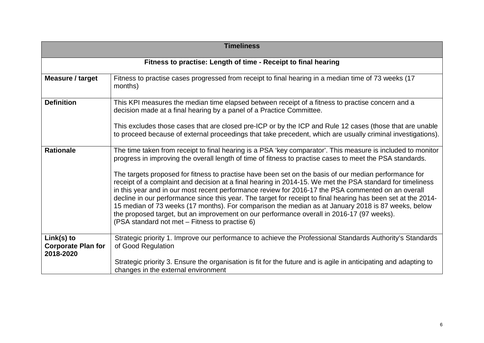| <b>Timeliness</b>                                    |                                                                                                                                                                                                                                                                                                                                                                                                                                                                                                                                                                                                                                                                                                |  |  |
|------------------------------------------------------|------------------------------------------------------------------------------------------------------------------------------------------------------------------------------------------------------------------------------------------------------------------------------------------------------------------------------------------------------------------------------------------------------------------------------------------------------------------------------------------------------------------------------------------------------------------------------------------------------------------------------------------------------------------------------------------------|--|--|
|                                                      | Fitness to practise: Length of time - Receipt to final hearing                                                                                                                                                                                                                                                                                                                                                                                                                                                                                                                                                                                                                                 |  |  |
| Measure / target                                     | Fitness to practise cases progressed from receipt to final hearing in a median time of 73 weeks (17<br>months)                                                                                                                                                                                                                                                                                                                                                                                                                                                                                                                                                                                 |  |  |
| <b>Definition</b>                                    | This KPI measures the median time elapsed between receipt of a fitness to practise concern and a<br>decision made at a final hearing by a panel of a Practice Committee.                                                                                                                                                                                                                                                                                                                                                                                                                                                                                                                       |  |  |
|                                                      | This excludes those cases that are closed pre-ICP or by the ICP and Rule 12 cases (those that are unable<br>to proceed because of external proceedings that take precedent, which are usually criminal investigations).                                                                                                                                                                                                                                                                                                                                                                                                                                                                        |  |  |
| <b>Rationale</b>                                     | The time taken from receipt to final hearing is a PSA 'key comparator'. This measure is included to monitor<br>progress in improving the overall length of time of fitness to practise cases to meet the PSA standards.                                                                                                                                                                                                                                                                                                                                                                                                                                                                        |  |  |
|                                                      | The targets proposed for fitness to practise have been set on the basis of our median performance for<br>receipt of a complaint and decision at a final hearing in 2014-15. We met the PSA standard for timeliness<br>in this year and in our most recent performance review for 2016-17 the PSA commented on an overall<br>decline in our performance since this year. The target for receipt to final hearing has been set at the 2014-<br>15 median of 73 weeks (17 months). For comparison the median as at January 2018 is 87 weeks, below<br>the proposed target, but an improvement on our performance overall in 2016-17 (97 weeks).<br>(PSA standard not met – Fitness to practise 6) |  |  |
| Link(s) to<br><b>Corporate Plan for</b><br>2018-2020 | Strategic priority 1. Improve our performance to achieve the Professional Standards Authority's Standards<br>of Good Regulation                                                                                                                                                                                                                                                                                                                                                                                                                                                                                                                                                                |  |  |
|                                                      | Strategic priority 3. Ensure the organisation is fit for the future and is agile in anticipating and adapting to<br>changes in the external environment                                                                                                                                                                                                                                                                                                                                                                                                                                                                                                                                        |  |  |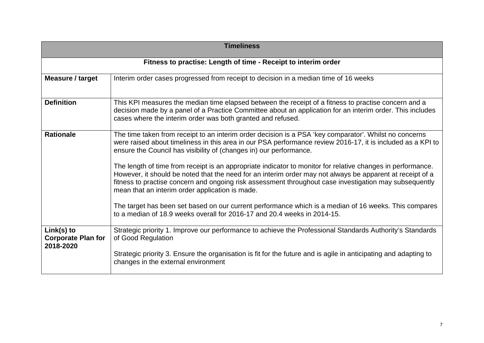| <b>Timeliness</b>                                      |                                                                                                                                                                                                                                                                                                                                                                                       |  |  |
|--------------------------------------------------------|---------------------------------------------------------------------------------------------------------------------------------------------------------------------------------------------------------------------------------------------------------------------------------------------------------------------------------------------------------------------------------------|--|--|
|                                                        | Fitness to practise: Length of time - Receipt to interim order                                                                                                                                                                                                                                                                                                                        |  |  |
| Measure / target                                       | Interim order cases progressed from receipt to decision in a median time of 16 weeks                                                                                                                                                                                                                                                                                                  |  |  |
| <b>Definition</b>                                      | This KPI measures the median time elapsed between the receipt of a fitness to practise concern and a<br>decision made by a panel of a Practice Committee about an application for an interim order. This includes<br>cases where the interim order was both granted and refused.                                                                                                      |  |  |
| <b>Rationale</b>                                       | The time taken from receipt to an interim order decision is a PSA 'key comparator'. Whilst no concerns<br>were raised about timeliness in this area in our PSA performance review 2016-17, it is included as a KPI to<br>ensure the Council has visibility of (changes in) our performance.                                                                                           |  |  |
|                                                        | The length of time from receipt is an appropriate indicator to monitor for relative changes in performance.<br>However, it should be noted that the need for an interim order may not always be apparent at receipt of a<br>fitness to practise concern and ongoing risk assessment throughout case investigation may subsequently<br>mean that an interim order application is made. |  |  |
|                                                        | The target has been set based on our current performance which is a median of 16 weeks. This compares<br>to a median of 18.9 weeks overall for 2016-17 and 20.4 weeks in 2014-15.                                                                                                                                                                                                     |  |  |
| $Link(s)$ to<br><b>Corporate Plan for</b><br>2018-2020 | Strategic priority 1. Improve our performance to achieve the Professional Standards Authority's Standards<br>of Good Regulation                                                                                                                                                                                                                                                       |  |  |
|                                                        | Strategic priority 3. Ensure the organisation is fit for the future and is agile in anticipating and adapting to<br>changes in the external environment                                                                                                                                                                                                                               |  |  |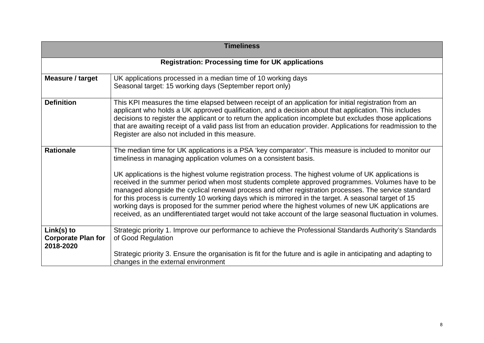| <b>Timeliness</b>                                      |                                                                                                                                                                                                                                                                                                                                                                                                                                                                                                                                                                                                                                                                                                                                                                                                                                    |  |  |
|--------------------------------------------------------|------------------------------------------------------------------------------------------------------------------------------------------------------------------------------------------------------------------------------------------------------------------------------------------------------------------------------------------------------------------------------------------------------------------------------------------------------------------------------------------------------------------------------------------------------------------------------------------------------------------------------------------------------------------------------------------------------------------------------------------------------------------------------------------------------------------------------------|--|--|
|                                                        | <b>Registration: Processing time for UK applications</b>                                                                                                                                                                                                                                                                                                                                                                                                                                                                                                                                                                                                                                                                                                                                                                           |  |  |
| Measure / target                                       | UK applications processed in a median time of 10 working days<br>Seasonal target: 15 working days (September report only)                                                                                                                                                                                                                                                                                                                                                                                                                                                                                                                                                                                                                                                                                                          |  |  |
| <b>Definition</b>                                      | This KPI measures the time elapsed between receipt of an application for initial registration from an<br>applicant who holds a UK approved qualification, and a decision about that application. This includes<br>decisions to register the applicant or to return the application incomplete but excludes those applications<br>that are awaiting receipt of a valid pass list from an education provider. Applications for readmission to the<br>Register are also not included in this measure.                                                                                                                                                                                                                                                                                                                                 |  |  |
| <b>Rationale</b>                                       | The median time for UK applications is a PSA 'key comparator'. This measure is included to monitor our<br>timeliness in managing application volumes on a consistent basis.<br>UK applications is the highest volume registration process. The highest volume of UK applications is<br>received in the summer period when most students complete approved programmes. Volumes have to be<br>managed alongside the cyclical renewal process and other registration processes. The service standard<br>for this process is currently 10 working days which is mirrored in the target. A seasonal target of 15<br>working days is proposed for the summer period where the highest volumes of new UK applications are<br>received, as an undifferentiated target would not take account of the large seasonal fluctuation in volumes. |  |  |
| $Link(s)$ to<br><b>Corporate Plan for</b><br>2018-2020 | Strategic priority 1. Improve our performance to achieve the Professional Standards Authority's Standards<br>of Good Regulation<br>Strategic priority 3. Ensure the organisation is fit for the future and is agile in anticipating and adapting to<br>changes in the external environment                                                                                                                                                                                                                                                                                                                                                                                                                                                                                                                                         |  |  |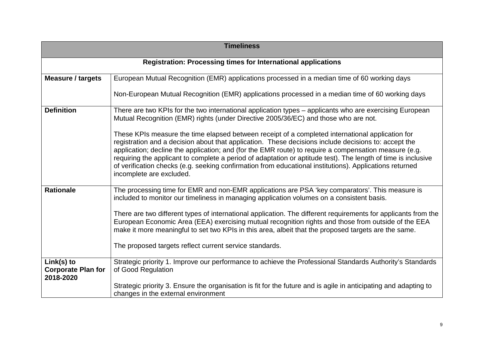| <b>Timeliness</b>                                                    |                                                                                                                                                                                                                                                                                                                                                                                                                                                                                                                                                                           |  |  |
|----------------------------------------------------------------------|---------------------------------------------------------------------------------------------------------------------------------------------------------------------------------------------------------------------------------------------------------------------------------------------------------------------------------------------------------------------------------------------------------------------------------------------------------------------------------------------------------------------------------------------------------------------------|--|--|
| <b>Registration: Processing times for International applications</b> |                                                                                                                                                                                                                                                                                                                                                                                                                                                                                                                                                                           |  |  |
| <b>Measure / targets</b>                                             | European Mutual Recognition (EMR) applications processed in a median time of 60 working days                                                                                                                                                                                                                                                                                                                                                                                                                                                                              |  |  |
|                                                                      | Non-European Mutual Recognition (EMR) applications processed in a median time of 60 working days                                                                                                                                                                                                                                                                                                                                                                                                                                                                          |  |  |
| <b>Definition</b>                                                    | There are two KPIs for the two international application types - applicants who are exercising European<br>Mutual Recognition (EMR) rights (under Directive 2005/36/EC) and those who are not.                                                                                                                                                                                                                                                                                                                                                                            |  |  |
|                                                                      | These KPIs measure the time elapsed between receipt of a completed international application for<br>registration and a decision about that application. These decisions include decisions to: accept the<br>application; decline the application; and (for the EMR route) to require a compensation measure (e.g.<br>requiring the applicant to complete a period of adaptation or aptitude test). The length of time is inclusive<br>of verification checks (e.g. seeking confirmation from educational institutions). Applications returned<br>incomplete are excluded. |  |  |
| <b>Rationale</b>                                                     | The processing time for EMR and non-EMR applications are PSA 'key comparators'. This measure is<br>included to monitor our timeliness in managing application volumes on a consistent basis.<br>There are two different types of international application. The different requirements for applicants from the                                                                                                                                                                                                                                                            |  |  |
|                                                                      | European Economic Area (EEA) exercising mutual recognition rights and those from outside of the EEA<br>make it more meaningful to set two KPIs in this area, albeit that the proposed targets are the same.                                                                                                                                                                                                                                                                                                                                                               |  |  |
|                                                                      | The proposed targets reflect current service standards.                                                                                                                                                                                                                                                                                                                                                                                                                                                                                                                   |  |  |
| $Link(s)$ to<br><b>Corporate Plan for</b><br>2018-2020               | Strategic priority 1. Improve our performance to achieve the Professional Standards Authority's Standards<br>of Good Regulation                                                                                                                                                                                                                                                                                                                                                                                                                                           |  |  |
|                                                                      | Strategic priority 3. Ensure the organisation is fit for the future and is agile in anticipating and adapting to<br>changes in the external environment                                                                                                                                                                                                                                                                                                                                                                                                                   |  |  |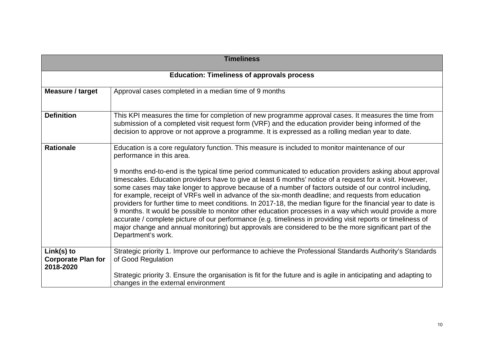| <b>Timeliness</b>                                    |                                                                                                                                                                                                                                                                                                                                                                                                                                                                                                                                                                                                                                                                                                                                                                                                                                                                                                                                                                                                                                                     |  |  |
|------------------------------------------------------|-----------------------------------------------------------------------------------------------------------------------------------------------------------------------------------------------------------------------------------------------------------------------------------------------------------------------------------------------------------------------------------------------------------------------------------------------------------------------------------------------------------------------------------------------------------------------------------------------------------------------------------------------------------------------------------------------------------------------------------------------------------------------------------------------------------------------------------------------------------------------------------------------------------------------------------------------------------------------------------------------------------------------------------------------------|--|--|
|                                                      | <b>Education: Timeliness of approvals process</b>                                                                                                                                                                                                                                                                                                                                                                                                                                                                                                                                                                                                                                                                                                                                                                                                                                                                                                                                                                                                   |  |  |
| Measure / target                                     | Approval cases completed in a median time of 9 months                                                                                                                                                                                                                                                                                                                                                                                                                                                                                                                                                                                                                                                                                                                                                                                                                                                                                                                                                                                               |  |  |
| <b>Definition</b>                                    | This KPI measures the time for completion of new programme approval cases. It measures the time from<br>submission of a completed visit request form (VRF) and the education provider being informed of the<br>decision to approve or not approve a programme. It is expressed as a rolling median year to date.                                                                                                                                                                                                                                                                                                                                                                                                                                                                                                                                                                                                                                                                                                                                    |  |  |
| <b>Rationale</b>                                     | Education is a core regulatory function. This measure is included to monitor maintenance of our<br>performance in this area.<br>9 months end-to-end is the typical time period communicated to education providers asking about approval<br>timescales. Education providers have to give at least 6 months' notice of a request for a visit. However,<br>some cases may take longer to approve because of a number of factors outside of our control including,<br>for example, receipt of VRFs well in advance of the six-month deadline; and requests from education<br>providers for further time to meet conditions. In 2017-18, the median figure for the financial year to date is<br>9 months. It would be possible to monitor other education processes in a way which would provide a more<br>accurate / complete picture of our performance (e.g. timeliness in providing visit reports or timeliness of<br>major change and annual monitoring) but approvals are considered to be the more significant part of the<br>Department's work. |  |  |
| Link(s) to<br><b>Corporate Plan for</b><br>2018-2020 | Strategic priority 1. Improve our performance to achieve the Professional Standards Authority's Standards<br>of Good Regulation                                                                                                                                                                                                                                                                                                                                                                                                                                                                                                                                                                                                                                                                                                                                                                                                                                                                                                                     |  |  |
|                                                      | Strategic priority 3. Ensure the organisation is fit for the future and is agile in anticipating and adapting to<br>changes in the external environment                                                                                                                                                                                                                                                                                                                                                                                                                                                                                                                                                                                                                                                                                                                                                                                                                                                                                             |  |  |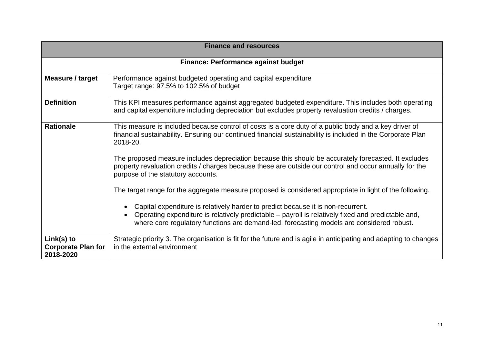| <b>Finance and resources</b>                           |                                                                                                                                                                                                                                                                                                                                                                                                                                                                                                                                                                                                                                                                                                                                                                                                                                                                                                                        |  |  |  |  |  |
|--------------------------------------------------------|------------------------------------------------------------------------------------------------------------------------------------------------------------------------------------------------------------------------------------------------------------------------------------------------------------------------------------------------------------------------------------------------------------------------------------------------------------------------------------------------------------------------------------------------------------------------------------------------------------------------------------------------------------------------------------------------------------------------------------------------------------------------------------------------------------------------------------------------------------------------------------------------------------------------|--|--|--|--|--|
|                                                        | <b>Finance: Performance against budget</b>                                                                                                                                                                                                                                                                                                                                                                                                                                                                                                                                                                                                                                                                                                                                                                                                                                                                             |  |  |  |  |  |
| Measure / target                                       | Performance against budgeted operating and capital expenditure<br>Target range: 97.5% to 102.5% of budget                                                                                                                                                                                                                                                                                                                                                                                                                                                                                                                                                                                                                                                                                                                                                                                                              |  |  |  |  |  |
| <b>Definition</b>                                      | This KPI measures performance against aggregated budgeted expenditure. This includes both operating<br>and capital expenditure including depreciation but excludes property revaluation credits / charges.                                                                                                                                                                                                                                                                                                                                                                                                                                                                                                                                                                                                                                                                                                             |  |  |  |  |  |
| <b>Rationale</b>                                       | This measure is included because control of costs is a core duty of a public body and a key driver of<br>financial sustainability. Ensuring our continued financial sustainability is included in the Corporate Plan<br>2018-20.<br>The proposed measure includes depreciation because this should be accurately forecasted. It excludes<br>property revaluation credits / charges because these are outside our control and occur annually for the<br>purpose of the statutory accounts.<br>The target range for the aggregate measure proposed is considered appropriate in light of the following.<br>Capital expenditure is relatively harder to predict because it is non-recurrent.<br>$\bullet$<br>Operating expenditure is relatively predictable – payroll is relatively fixed and predictable and,<br>$\bullet$<br>where core regulatory functions are demand-led, forecasting models are considered robust. |  |  |  |  |  |
| $Link(s)$ to<br><b>Corporate Plan for</b><br>2018-2020 | Strategic priority 3. The organisation is fit for the future and is agile in anticipating and adapting to changes<br>in the external environment                                                                                                                                                                                                                                                                                                                                                                                                                                                                                                                                                                                                                                                                                                                                                                       |  |  |  |  |  |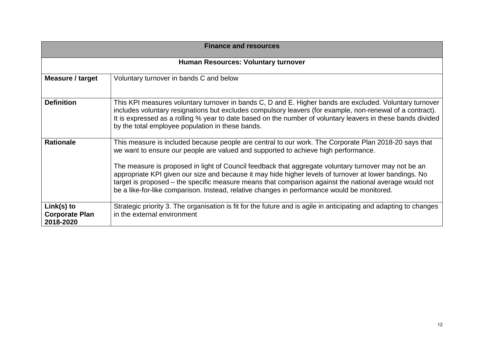| <b>Finance and resources</b>                       |                                                                                                                                                                                                                                                                                                                                                                                                                                                                                                                                                                                                                        |  |  |
|----------------------------------------------------|------------------------------------------------------------------------------------------------------------------------------------------------------------------------------------------------------------------------------------------------------------------------------------------------------------------------------------------------------------------------------------------------------------------------------------------------------------------------------------------------------------------------------------------------------------------------------------------------------------------------|--|--|
| Human Resources: Voluntary turnover                |                                                                                                                                                                                                                                                                                                                                                                                                                                                                                                                                                                                                                        |  |  |
| Measure / target                                   | Voluntary turnover in bands C and below                                                                                                                                                                                                                                                                                                                                                                                                                                                                                                                                                                                |  |  |
| <b>Definition</b>                                  | This KPI measures voluntary turnover in bands C, D and E. Higher bands are excluded. Voluntary turnover<br>includes voluntary resignations but excludes compulsory leavers (for example, non-renewal of a contract).<br>It is expressed as a rolling % year to date based on the number of voluntary leavers in these bands divided<br>by the total employee population in these bands.                                                                                                                                                                                                                                |  |  |
| <b>Rationale</b>                                   | This measure is included because people are central to our work. The Corporate Plan 2018-20 says that<br>we want to ensure our people are valued and supported to achieve high performance.<br>The measure is proposed in light of Council feedback that aggregate voluntary turnover may not be an<br>appropriate KPI given our size and because it may hide higher levels of turnover at lower bandings. No<br>target is proposed – the specific measure means that comparison against the national average would not<br>be a like-for-like comparison. Instead, relative changes in performance would be monitored. |  |  |
| $Link(s)$ to<br><b>Corporate Plan</b><br>2018-2020 | Strategic priority 3. The organisation is fit for the future and is agile in anticipating and adapting to changes<br>in the external environment                                                                                                                                                                                                                                                                                                                                                                                                                                                                       |  |  |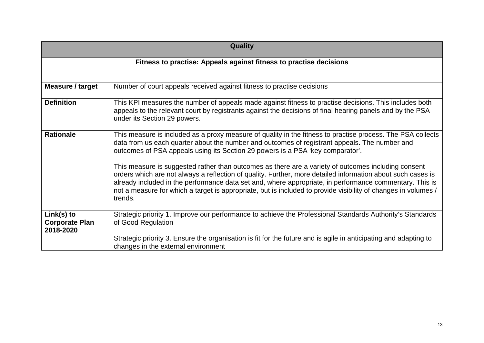| Quality                                            |                                                                                                                                                                                                                                                                                                                                                                                                                                                            |  |  |  |
|----------------------------------------------------|------------------------------------------------------------------------------------------------------------------------------------------------------------------------------------------------------------------------------------------------------------------------------------------------------------------------------------------------------------------------------------------------------------------------------------------------------------|--|--|--|
|                                                    | Fitness to practise: Appeals against fitness to practise decisions                                                                                                                                                                                                                                                                                                                                                                                         |  |  |  |
| Measure / target                                   | Number of court appeals received against fitness to practise decisions                                                                                                                                                                                                                                                                                                                                                                                     |  |  |  |
| <b>Definition</b>                                  | This KPI measures the number of appeals made against fitness to practise decisions. This includes both<br>appeals to the relevant court by registrants against the decisions of final hearing panels and by the PSA<br>under its Section 29 powers.                                                                                                                                                                                                        |  |  |  |
| <b>Rationale</b>                                   | This measure is included as a proxy measure of quality in the fitness to practise process. The PSA collects<br>data from us each quarter about the number and outcomes of registrant appeals. The number and<br>outcomes of PSA appeals using its Section 29 powers is a PSA 'key comparator'.                                                                                                                                                             |  |  |  |
|                                                    | This measure is suggested rather than outcomes as there are a variety of outcomes including consent<br>orders which are not always a reflection of quality. Further, more detailed information about such cases is<br>already included in the performance data set and, where appropriate, in performance commentary. This is<br>not a measure for which a target is appropriate, but is included to provide visibility of changes in volumes /<br>trends. |  |  |  |
| $Link(s)$ to<br><b>Corporate Plan</b><br>2018-2020 | Strategic priority 1. Improve our performance to achieve the Professional Standards Authority's Standards<br>of Good Regulation                                                                                                                                                                                                                                                                                                                            |  |  |  |
|                                                    | Strategic priority 3. Ensure the organisation is fit for the future and is agile in anticipating and adapting to<br>changes in the external environment                                                                                                                                                                                                                                                                                                    |  |  |  |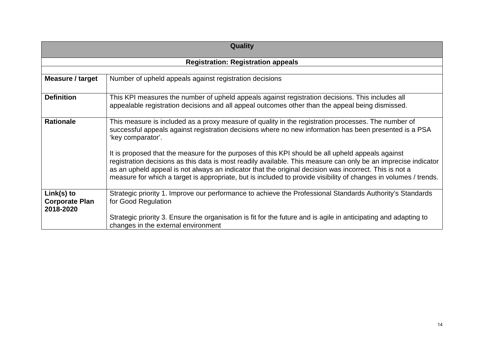| Quality                                            |                                                                                                                                                                                                                                                                                                                                                                                                                                                   |  |  |
|----------------------------------------------------|---------------------------------------------------------------------------------------------------------------------------------------------------------------------------------------------------------------------------------------------------------------------------------------------------------------------------------------------------------------------------------------------------------------------------------------------------|--|--|
|                                                    | <b>Registration: Registration appeals</b>                                                                                                                                                                                                                                                                                                                                                                                                         |  |  |
|                                                    |                                                                                                                                                                                                                                                                                                                                                                                                                                                   |  |  |
| Measure / target                                   | Number of upheld appeals against registration decisions                                                                                                                                                                                                                                                                                                                                                                                           |  |  |
| <b>Definition</b>                                  | This KPI measures the number of upheld appeals against registration decisions. This includes all<br>appealable registration decisions and all appeal outcomes other than the appeal being dismissed.                                                                                                                                                                                                                                              |  |  |
| <b>Rationale</b>                                   | This measure is included as a proxy measure of quality in the registration processes. The number of<br>successful appeals against registration decisions where no new information has been presented is a PSA<br>'key comparator'.                                                                                                                                                                                                                |  |  |
|                                                    | It is proposed that the measure for the purposes of this KPI should be all upheld appeals against<br>registration decisions as this data is most readily available. This measure can only be an imprecise indicator<br>as an upheld appeal is not always an indicator that the original decision was incorrect. This is not a<br>measure for which a target is appropriate, but is included to provide visibility of changes in volumes / trends. |  |  |
| $Link(s)$ to<br><b>Corporate Plan</b><br>2018-2020 | Strategic priority 1. Improve our performance to achieve the Professional Standards Authority's Standards<br>for Good Regulation                                                                                                                                                                                                                                                                                                                  |  |  |
|                                                    | Strategic priority 3. Ensure the organisation is fit for the future and is agile in anticipating and adapting to<br>changes in the external environment                                                                                                                                                                                                                                                                                           |  |  |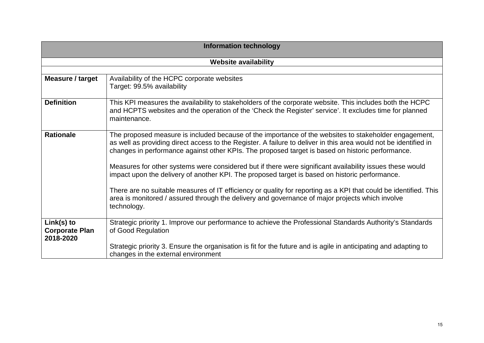| <b>Information technology</b>                    |                                                                                                                                                                                                                                                                                                                                                                                                                                                                                                                                                                                                                                                                                                                                                                                   |  |  |
|--------------------------------------------------|-----------------------------------------------------------------------------------------------------------------------------------------------------------------------------------------------------------------------------------------------------------------------------------------------------------------------------------------------------------------------------------------------------------------------------------------------------------------------------------------------------------------------------------------------------------------------------------------------------------------------------------------------------------------------------------------------------------------------------------------------------------------------------------|--|--|
|                                                  | <b>Website availability</b>                                                                                                                                                                                                                                                                                                                                                                                                                                                                                                                                                                                                                                                                                                                                                       |  |  |
|                                                  |                                                                                                                                                                                                                                                                                                                                                                                                                                                                                                                                                                                                                                                                                                                                                                                   |  |  |
| Measure / target                                 | Availability of the HCPC corporate websites<br>Target: 99.5% availability                                                                                                                                                                                                                                                                                                                                                                                                                                                                                                                                                                                                                                                                                                         |  |  |
| <b>Definition</b>                                | This KPI measures the availability to stakeholders of the corporate website. This includes both the HCPC<br>and HCPTS websites and the operation of the 'Check the Register' service'. It excludes time for planned<br>maintenance.                                                                                                                                                                                                                                                                                                                                                                                                                                                                                                                                               |  |  |
| <b>Rationale</b>                                 | The proposed measure is included because of the importance of the websites to stakeholder engagement,<br>as well as providing direct access to the Register. A failure to deliver in this area would not be identified in<br>changes in performance against other KPIs. The proposed target is based on historic performance.<br>Measures for other systems were considered but if there were significant availability issues these would<br>impact upon the delivery of another KPI. The proposed target is based on historic performance.<br>There are no suitable measures of IT efficiency or quality for reporting as a KPI that could be identified. This<br>area is monitored / assured through the delivery and governance of major projects which involve<br>technology. |  |  |
| Link(s) to<br><b>Corporate Plan</b><br>2018-2020 | Strategic priority 1. Improve our performance to achieve the Professional Standards Authority's Standards<br>of Good Regulation                                                                                                                                                                                                                                                                                                                                                                                                                                                                                                                                                                                                                                                   |  |  |
|                                                  | Strategic priority 3. Ensure the organisation is fit for the future and is agile in anticipating and adapting to<br>changes in the external environment                                                                                                                                                                                                                                                                                                                                                                                                                                                                                                                                                                                                                           |  |  |